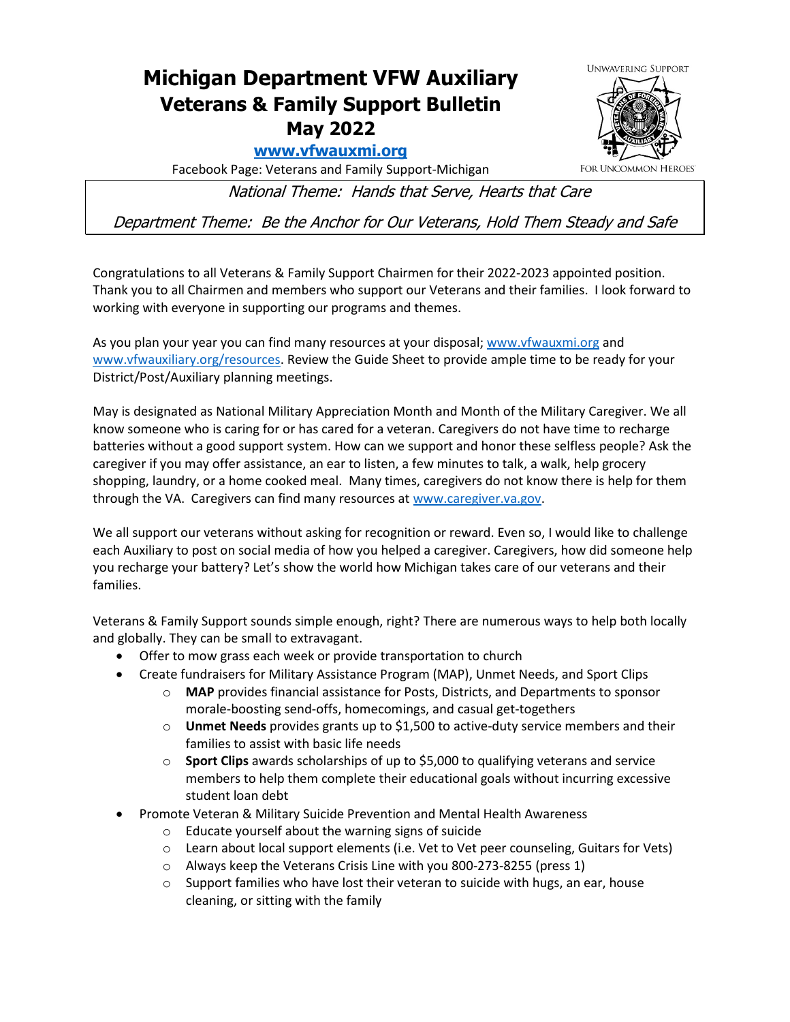## **Michigan Department VFW Auxiliary Veterans & Family Support Bulletin May 2022**

## **[www.vfwauxmi.org](http://www.vfwauxmi.org/)**

**FOR UNCOMMON HEROES** 

**UNWAVERING SUPPORT** 

Facebook Page: Veterans and Family Support-Michigan

National Theme: Hands that Serve, Hearts that Care

Department Theme: Be the Anchor for Our Veterans, Hold Them Steady and Safe

Congratulations to all Veterans & Family Support Chairmen for their 2022-2023 appointed position. Thank you to all Chairmen and members who support our Veterans and their families. I look forward to working with everyone in supporting our programs and themes.

As you plan your year you can find many resources at your disposal[; www.vfwauxmi.org](http://www.vfwauxmi.org/) and [www.vfwauxiliary.org/resources.](http://www.vfwauxiliary.org/resources) Review the Guide Sheet to provide ample time to be ready for your District/Post/Auxiliary planning meetings.

May is designated as National Military Appreciation Month and Month of the Military Caregiver. We all know someone who is caring for or has cared for a veteran. Caregivers do not have time to recharge batteries without a good support system. How can we support and honor these selfless people? Ask the caregiver if you may offer assistance, an ear to listen, a few minutes to talk, a walk, help grocery shopping, laundry, or a home cooked meal. Many times, caregivers do not know there is help for them through the VA. Caregivers can find many resources at [www.caregiver.va.gov.](http://www.caregiver.va.gov/)

We all support our veterans without asking for recognition or reward. Even so, I would like to challenge each Auxiliary to post on social media of how you helped a caregiver. Caregivers, how did someone help you recharge your battery? Let's show the world how Michigan takes care of our veterans and their families.

Veterans & Family Support sounds simple enough, right? There are numerous ways to help both locally and globally. They can be small to extravagant.

- Offer to mow grass each week or provide transportation to church
- Create fundraisers for Military Assistance Program (MAP), Unmet Needs, and Sport Clips
	- o **MAP** provides financial assistance for Posts, Districts, and Departments to sponsor morale-boosting send-offs, homecomings, and casual get-togethers
	- o **Unmet Needs** provides grants up to \$1,500 to active-duty service members and their families to assist with basic life needs
	- o **Sport Clips** awards scholarships of up to \$5,000 to qualifying veterans and service members to help them complete their educational goals without incurring excessive student loan debt
- Promote Veteran & Military Suicide Prevention and Mental Health Awareness
	- o Educate yourself about the warning signs of suicide
	- o Learn about local support elements (i.e. Vet to Vet peer counseling, Guitars for Vets)
	- o Always keep the Veterans Crisis Line with you 800-273-8255 (press 1)
	- o Support families who have lost their veteran to suicide with hugs, an ear, house cleaning, or sitting with the family